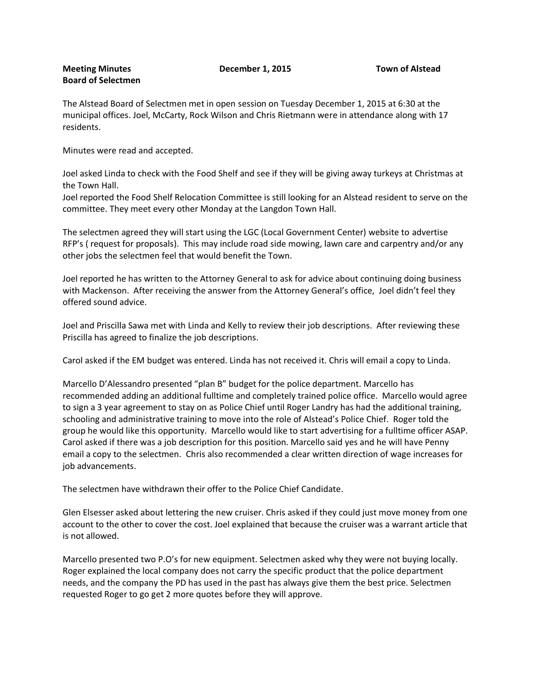## **Meeting Minutes December 1, 2015 Town of Alstead Board of Selectmen**

The Alstead Board of Selectmen met in open session on Tuesday December 1, 2015 at 6:30 at the municipal offices. Joel, McCarty, Rock Wilson and Chris Rietmann were in attendance along with 17 residents.

Minutes were read and accepted.

Joel asked Linda to check with the Food Shelf and see if they will be giving away turkeys at Christmas at the Town Hall.

Joel reported the Food Shelf Relocation Committee is still looking for an Alstead resident to serve on the committee. They meet every other Monday at the Langdon Town Hall.

The selectmen agreed they will start using the LGC (Local Government Center) website to advertise RFP's ( request for proposals). This may include road side mowing, lawn care and carpentry and/or any other jobs the selectmen feel that would benefit the Town.

Joel reported he has written to the Attorney General to ask for advice about continuing doing business with Mackenson. After receiving the answer from the Attorney General's office, Joel didn't feel they offered sound advice.

Joel and Priscilla Sawa met with Linda and Kelly to review their job descriptions. After reviewing these Priscilla has agreed to finalize the job descriptions.

Carol asked if the EM budget was entered. Linda has not received it. Chris will email a copy to Linda.

Marcello D'Alessandro presented "plan B" budget for the police department. Marcello has recommended adding an additional fulltime and completely trained police office. Marcello would agree to sign a 3 year agreement to stay on as Police Chief until Roger Landry has had the additional training, schooling and administrative training to move into the role of Alstead's Police Chief. Roger told the group he would like this opportunity. Marcello would like to start advertising for a fulltime officer ASAP. Carol asked if there was a job description for this position. Marcello said yes and he will have Penny email a copy to the selectmen. Chris also recommended a clear written direction of wage increases for job advancements.

The selectmen have withdrawn their offer to the Police Chief Candidate.

Glen Elsesser asked about lettering the new cruiser. Chris asked if they could just move money from one account to the other to cover the cost. Joel explained that because the cruiser was a warrant article that is not allowed.

Marcello presented two P.O's for new equipment. Selectmen asked why they were not buying locally. Roger explained the local company does not carry the specific product that the police department needs, and the company the PD has used in the past has always give them the best price. Selectmen requested Roger to go get 2 more quotes before they will approve.